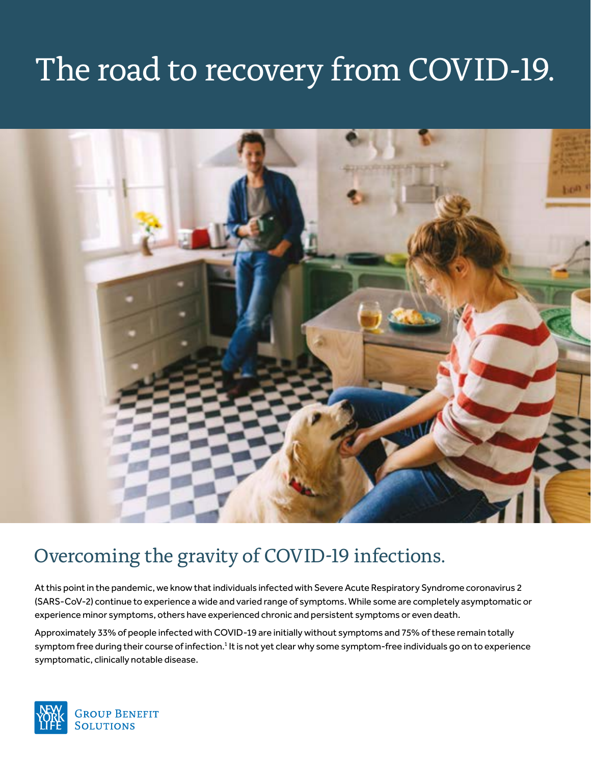# The road to recovery from COVID-19.



# Overcoming the gravity of COVID-19 infections.

At this point in the pandemic, we know that individuals infected with Severe Acute Respiratory Syndrome coronavirus 2 (SARS-CoV-2) continue to experience a wide and varied range of symptoms. While some are completely asymptomatic or experience minor symptoms, others have experienced chronic and persistent symptoms or even death.

Approximately 33% of people infected with COVID-19 are initially without symptoms and 75% of these remain totally symptom free during their course of infection.<sup>1</sup> It is not yet clear why some symptom-free individuals go on to experience symptomatic, clinically notable disease.

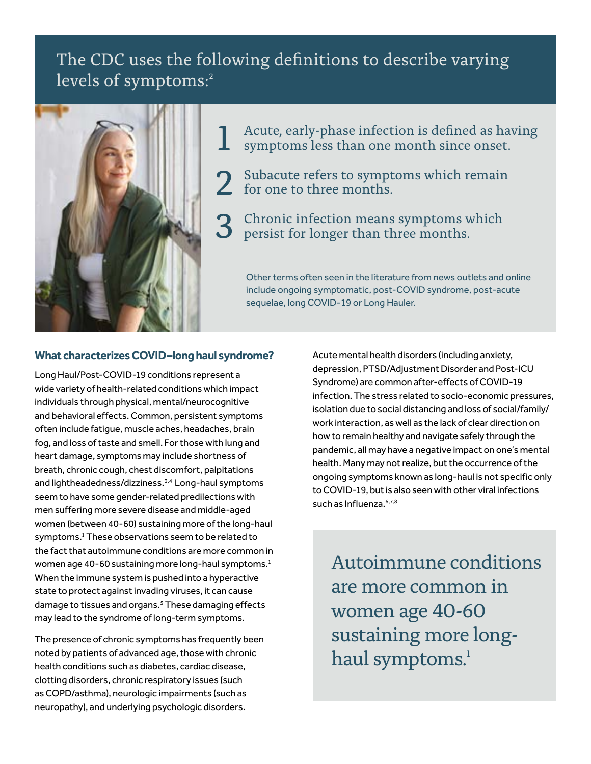## The CDC uses the following definitions to describe varying levels of symptoms:<sup>2</sup>



Acute, early-phase infection is defined as having symptoms less than one month since onset. 1

- Subacute refers to symptoms which remain 2 Subacute refers to sympt<br>for one to three months.
- 3 Chronic infection means symptoms which persist for longer than three months. persist for longer than three months.

Other terms often seen in the literature from news outlets and online include ongoing symptomatic, post-COVID syndrome, post-acute sequelae, long COVID-19 or Long Hauler.

### **What characterizes COVID–long haul syndrome?**

Long Haul/Post-COVID-19 conditions represent a wide variety of health-related conditions which impact individuals through physical, mental/neurocognitive and behavioral effects. Common, persistent symptoms often include fatigue, muscle aches, headaches, brain fog, and loss of taste and smell. For those with lung and heart damage, symptoms may include shortness of breath, chronic cough, chest discomfort, palpitations and lightheadedness/dizziness.3,4 Long-haul symptoms seem to have some gender-related predilections with men suffering more severe disease and middle-aged women (between 40-60) sustaining more of the long-haul symptoms.<sup>1</sup> These observations seem to be related to the fact that autoimmune conditions are more common in women age 40-60 sustaining more long-haul symptoms.<sup>1</sup> When the immune system is pushed into a hyperactive state to protect against invading viruses, it can cause damage to tissues and organs.<sup>5</sup> These damaging effects may lead to the syndrome of long-term symptoms.

The presence of chronic symptoms has frequently been noted by patients of advanced age, those with chronic health conditions such as diabetes, cardiac disease, clotting disorders, chronic respiratory issues (such as COPD/asthma), neurologic impairments (such as neuropathy), and underlying psychologic disorders.

Acute mental health disorders (including anxiety, depression, PTSD/Adjustment Disorder and Post-ICU Syndrome) are common after-effects of COVID-19 infection. The stress related to socio-economic pressures, isolation due to social distancing and loss of social/family/ work interaction, as well as the lack of clear direction on how to remain healthy and navigate safely through the pandemic, all may have a negative impact on one's mental health. Many may not realize, but the occurrence of the ongoing symptoms known as long-haul is not specific only to COVID-19, but is also seen with other viral infections such as Influenza. 6,7,8

Autoimmune conditions are more common in women age 40-60 sustaining more longhaul symptoms.<sup>1</sup>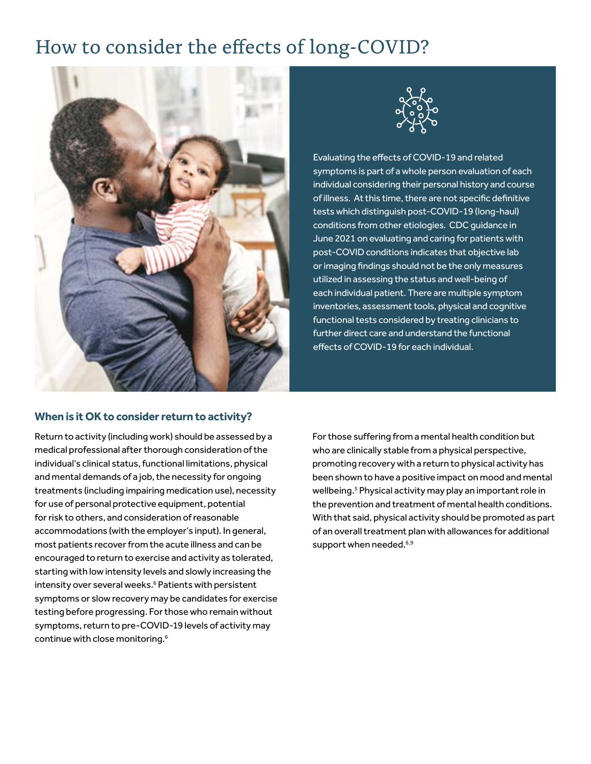# How to consider the effects of long-COVID?





Evaluating the effects of COVID-19 and related symptoms is part of a whole person evaluation of each individual considering their personal history and course of illness. At this time, there are not specific definitive tests which distinguish post-COVID-19 (long-haul) conditions from other etiologies. CDC guidance in June 2021 on evaluating and caring for patients with post-COVID conditions indicates that objective lab or imaging findings should not be the only measures utilized in assessing the status and well-being of each individual patient. There are multiple symptom inventories, assessment tools, physical and cognitive functional tests considered by treating clinicians to further direct care and understand the functional effects of COVID-19 for each individual.

### **When is it OK to consider return to activity?**

Return to activity (including work) should be assessed by a medical professional after thorough consideration of the individual's clinical status, functional limitations, physical and mental demands of a job, the necessity for ongoing treatments (including impairing medication use), necessity for use of personal protective equipment, potential for risk to others, and consideration of reasonable accommodations (with the employer's input). In general, most patients recover from the acute illness and can be encouraged to return to exercise and activity as tolerated, starting with low intensity levels and slowly increasing the intensity over several weeks.<sup>6</sup> Patients with persistent symptoms or slow recovery may be candidates for exercise testing before progressing. For those who remain without symptoms, return to pre-COVID-19 levels of activity may continue with close monitoring.6

For those suffering from a mental health condition but who are clinically stable from a physical perspective, promoting recovery with a return to physical activity has been shown to have a positive impact on mood and mental wellbeing.<sup>5</sup> Physical activity may play an important role in the prevention and treatment of mental health conditions. With that said, physical activity should be promoted as part of an overall treatment plan with allowances for additional support when needed. $6,9$